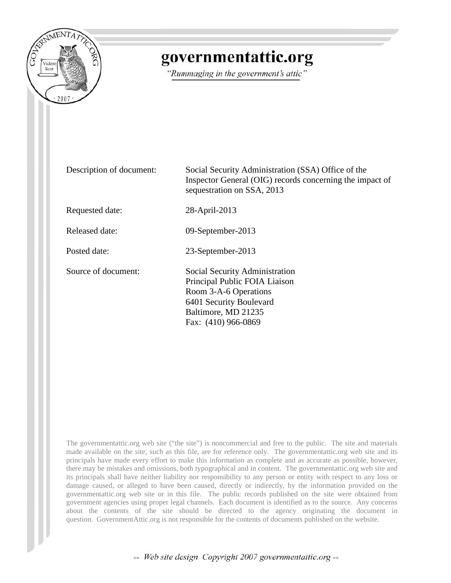

# governmentattic.org

"Rummaging in the government's attic"

| Description of document: | Social Security Administration (SSA) Office of the<br>Inspector General (OIG) records concerning the impact of<br>sequestration on SSA, 2013                      |
|--------------------------|-------------------------------------------------------------------------------------------------------------------------------------------------------------------|
| Requested date:          | 28-April-2013                                                                                                                                                     |
| Released date:           | 09-September-2013                                                                                                                                                 |
| Posted date:             | 23-September-2013                                                                                                                                                 |
| Source of document:      | Social Security Administration<br>Principal Public FOIA Liaison<br>Room 3-A-6 Operations<br>6401 Security Boulevard<br>Baltimore, MD 21235<br>Fax: (410) 966-0869 |

The governmentattic.org web site ("the site") is noncommercial and free to the public. The site and materials made available on the site, such as this file, are for reference only. The governmentattic.org web site and its principals have made every effort to make this information as complete and as accurate as possible, however, there may be mistakes and omissions, both typographical and in content. The governmentattic.org web site and its principals shall have neither liability nor responsibility to any person or entity with respect to any loss or damage caused, or alleged to have been caused, directly or indirectly, by the information provided on the governmentattic.org web site or in this file. The public records published on the site were obtained from government agencies using proper legal channels. Each document is identified as to the source. Any concerns about the contents of the site should be directed to the agency originating the document in question. GovernmentAttic.org is not responsible for the contents of documents published on the website.

-- Web site design Copyright 2007 governmentattic.org --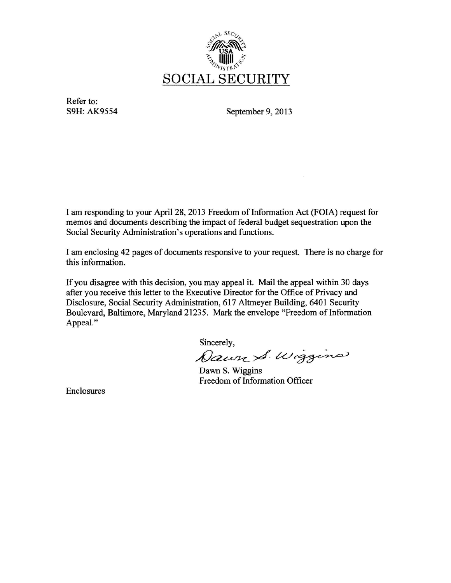

Refer to:

S9H: AK9554 September 9, 2013

I am responding to your April 28, 2013 Freedom of Information Act (FOIA) request for memos and documents describing the impact of federal budget sequestration upon the Social Security Administration's operations and functions.

I am enclosing 42 pages of documents responsive to your request. There is no charge for this information.

If you disagree with this decision, you may appeal it. Mail the appeal within 30 days after you receive this letter to the Executive Director for the Office of Privacy and Disclosure, Social Security Administration, 617 Altmeyer Building, 6401 Security Boulevard, Baltimore, Maryland 21235. Mark the envelope "Freedom of Information Appeal."

Sincerely,

Dawn S. Wiggins

Dawn S. Wiggins Freedom of Information Officer

Enclosures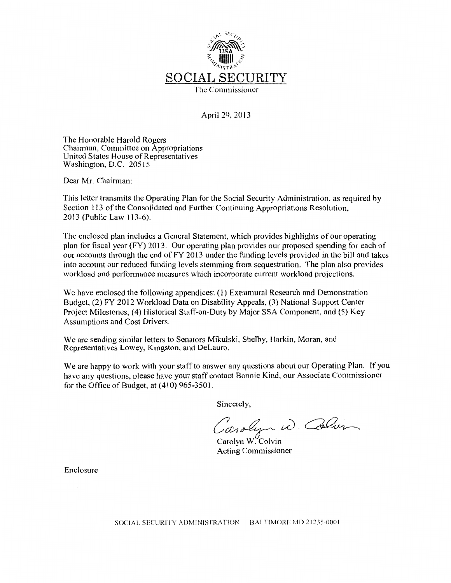

April 29, 2013

The Honorable Harold Rogers Chairman, Committee on Appropriations United States House of Representatives Washington, D.C. 20515

Dear Mr. Chairman:

This letter transmits the Operating Plan for the Social Security Administration, as required by Section 113 of the Consolidated and Further Continuing Appropriations Resolution, 2013 (Public Law 113-6).

The enclosed plan includes a General Statement, which provides highlights of our operating plan for fiscal year (FY) 2013. Our operating plan provides our proposed spending for each of our accounts through the end of FY 2013 under the funding levels provided in the bill and takes into account our reduced funding levels stemming from sequestration. The plan also provides workload and performance measures which incorporate current workload projections.

We have enclosed the following appendices: (1) Extramural Research and Demonstration Budget, (2) FY 2012 Workload Data on Disability Appeals, (3) National Support Center Project Milestones, (4) Historical Staff-on-Duty by Major SSA Component, and (5) Key Assumptions and Cost Drivers.

We are sending similar letters to Senators Mikulski, Shelby, Harkin, Moran, and Representatives Lowey, Kingston, and DeLauro.

We are happy to work with your staff to answer any questions about our Operating Plan. If you have any questions, please have your staff contact Bonnie Kind, our Associate Commissioner for the Office of Budget, at (410) 965-3501.

Sincerely,

Carolyn W. Colur

**Acting Commissioner** 

Enclosure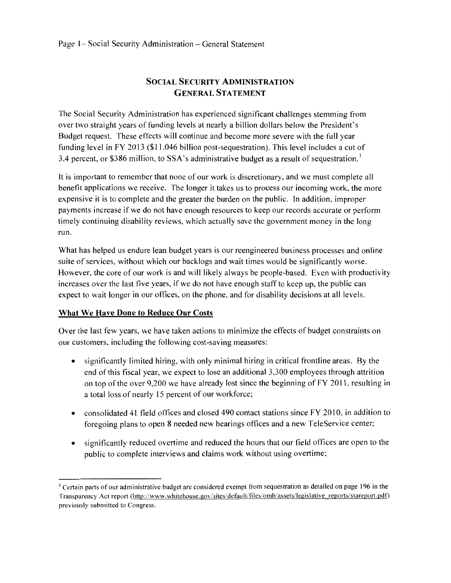# **SOCIAL SECURITY ADMINISTRATION GENERAL STATEMENT**

The Social Security Administration has experienced significant challenges stemming from over two straight years of funding levels at nearly a billion dollars below the President's Budget request. These effects will continue and become more severe with the full year funding level in FY 2013 (\$11.046 billion post-sequestration). This level includes a cut of 3.4 percent, or \$386 million, to SSA's administrative budget as a result of sequestration.<sup>1</sup>

It is important to remember that none of our work is discretionary, and we must complete all benefit applications we receive. The longer it takes us to process our incoming work, the more expensive it is to complete and the greater the burden on the public. In addition, improper payments increase if we do not have enough resources to keep our records accurate or perform timely continuing disability reviews, which actually save the government money in the long run.

What has helped us endure lean budget years is our reengineered business processes and online suite of services, without which our backlogs and wait times would be significantly worse. However, the core of our work is and will likely always be people-based. Even with productivity increases over the last five years, if we do not have enough staff to keep up, the public can expect to wait longer in our offices, on the phone, and for disability decisions at all levels.

# **What We Have Done to Reduce Our Costs**

Over the last few years, we have taken actions to minimize the effects of budget constraints on our customers, including the following cost-saving measures:

- significantly limited hiring, with only minimal hiring in critical frontline areas. By the end of this fiscal year, we expect to lose an additional 3,300 employees through attrition on top of the over 9,200 we have already lost since the beginning of FY 2011, resulting in a total loss of nearly 15 percent of our workforce;
- consolidated 41 field offices and closed 490 contact stations since FY 2010, in addition to foregoing plans to open 8 needed new hearings offices and a new TeleService center;
- significantly reduced overtime and reduced the hours that our field offices are open to the public to complete interviews and claims work without using overtime;

 $1$  Certain parts of our administrative budget are considered exempt from sequestration as detailed on page 196 in the Transparency Act report (http://www.whitehouse.gov/sites/default/files/omb/assets/legislative\_reports/stareport.pdf) previously submitted to Congress.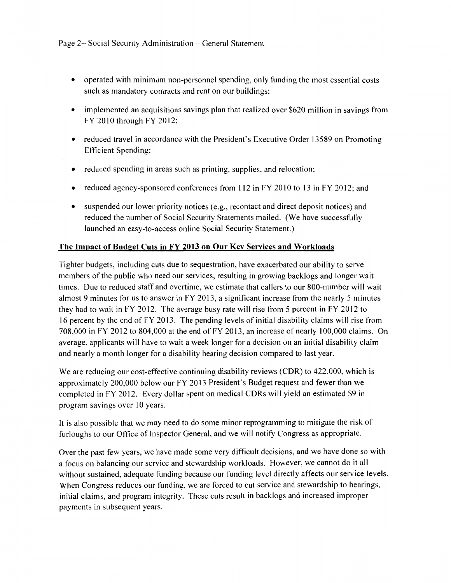- operated with minimum non-personnel spending, only funding the most essential costs  $\bullet$ such as mandatory contracts and rent on our buildings;
- implemented an acquisitions savings plan that realized over \$620 million in savings from FY 2010 through FY 2012;
- reduced travel in accordance with the President's Executive Order 13589 on Promoting **Efficient Spending:**
- reduced spending in areas such as printing, supplies, and relocation;  $\bullet$
- reduced agency-sponsored conferences from 112 in FY 2010 to 13 in FY 2012; and
- suspended our lower priority notices (e.g., recontact and direct deposit notices) and reduced the number of Social Security Statements mailed. (We have successfully launched an easy-to-access online Social Security Statement.)

# The Impact of Budget Cuts in FY 2013 on Our Key Services and Workloads

Tighter budgets, including cuts due to sequestration, have exacerbated our ability to serve members of the public who need our services, resulting in growing backlogs and longer wait times. Due to reduced staff and overtime, we estimate that callers to our 800-number will wait almost 9 minutes for us to answer in FY 2013, a significant increase from the nearly 5 minutes they had to wait in FY 2012. The average busy rate will rise from 5 percent in FY 2012 to 16 percent by the end of FY 2013. The pending levels of initial disability claims will rise from 708,000 in FY 2012 to 804,000 at the end of FY 2013, an increase of nearly 100,000 claims. On average, applicants will have to wait a week longer for a decision on an initial disability claim and nearly a month longer for a disability hearing decision compared to last year.

We are reducing our cost-effective continuing disability reviews (CDR) to 422,000, which is approximately 200,000 below our FY 2013 President's Budget request and fewer than we completed in FY 2012. Every dollar spent on medical CDRs will yield an estimated \$9 in program savings over 10 years.

It is also possible that we may need to do some minor reprogramming to mitigate the risk of furloughs to our Office of Inspector General, and we will notify Congress as appropriate.

Over the past few years, we have made some very difficult decisions, and we have done so with a focus on balancing our service and stewardship workloads. However, we cannot do it all without sustained, adequate funding because our funding level directly affects our service levels. When Congress reduces our funding, we are forced to cut service and stewardship to hearings, initial claims, and program integrity. These cuts result in backlogs and increased improper payments in subsequent years.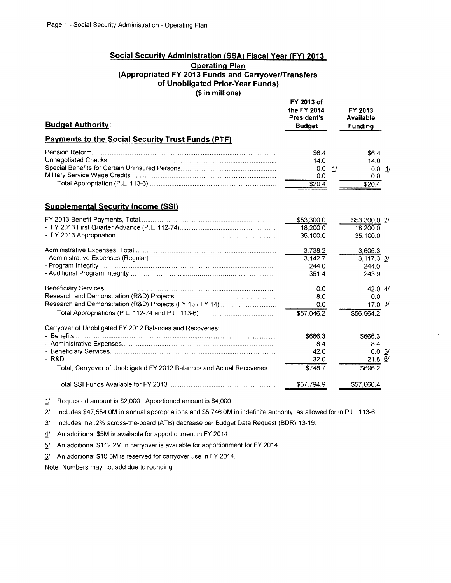#### Social Security Administration (SSA) Fiscal Year (FY) 2013

#### **Operating Plan**

#### (Appropriated FY 2013 Funds and Carryover/Transfers

#### of Unobligated Prior-Year Funds)

(\$ in millions)

| <b>Budget Authority:</b>                                               | FY 2013 of<br>the FY 2014<br><b>President's</b><br><b>Budget</b> |               | FY 2013<br><b>Available</b><br><b>Fundina</b> |                |
|------------------------------------------------------------------------|------------------------------------------------------------------|---------------|-----------------------------------------------|----------------|
| <b>Payments to the Social Security Trust Funds (PTF)</b>               |                                                                  |               |                                               |                |
|                                                                        | \$6.4                                                            |               | \$6.4                                         |                |
|                                                                        | 14.0<br>0.0<br>0.0                                               | $\mathcal{U}$ | 14.0<br>0.0<br>0.0                            | $\overline{1}$ |
|                                                                        | \$20.4                                                           |               | \$20.4                                        |                |
| <b>Supplemental Security Income (SSI)</b>                              |                                                                  |               |                                               |                |
|                                                                        | \$53,300.0                                                       |               | \$53,300.0 2/                                 |                |
|                                                                        | 18,200.0                                                         |               | 18,200.0                                      |                |
|                                                                        | 35,100.0                                                         |               | 35,100.0                                      |                |
|                                                                        | 3,738.2                                                          |               | 3,605.3                                       |                |
|                                                                        | 3.142.7                                                          |               | $3,117.3$ 3/                                  |                |
|                                                                        | 244.0                                                            |               | 244.0                                         |                |
|                                                                        | 351.4                                                            |               | 243.9                                         |                |
|                                                                        | 0.0                                                              |               | 42.0 $4/$                                     |                |
|                                                                        | 8.0                                                              |               | 0.0                                           |                |
| Research and Demonstration (R&D) Projects (FY 13 / FY 14)              | 0.0                                                              |               | $17.0 \frac{3}{1}$                            |                |
|                                                                        | \$57,046.2                                                       |               | \$56,964.2                                    |                |
| Carryover of Unobligated FY 2012 Balances and Recoveries:              |                                                                  |               |                                               |                |
|                                                                        | \$666.3                                                          |               | \$666.3                                       |                |
|                                                                        | 8.4                                                              |               | 8.4                                           |                |
|                                                                        | 42.0                                                             |               | $0.0 \frac{5}{3}$                             |                |
|                                                                        | 32.0                                                             |               | $21.5 \frac{6}{3}$                            |                |
| Total, Carryover of Unobligated FY 2012 Balances and Actual Recoveries | \$748.7                                                          |               | \$696.2                                       |                |
|                                                                        | \$57,794.9                                                       |               | \$57,660.4                                    |                |
| <u>in a saa</u>                                                        |                                                                  |               |                                               |                |

1/ Requested amount is \$2,000. Apportioned amount is \$4,000.

2/ Includes \$47,554.0M in annual appropriations and \$5,746.0M in indefinite authority, as allowed for in P.L. 113-6.

3/ Includes the .2% across-the-board (ATB) decrease per Budget Data Request (BDR) 13-19.

4/ An additional \$5M is available for apportionment in FY 2014.

5/ An additional \$112.2M in carryover is available for apportionment for FY 2014.

6/ An additional \$10.5M is reserved for carryover use in FY 2014.

Note: Numbers may not add due to rounding.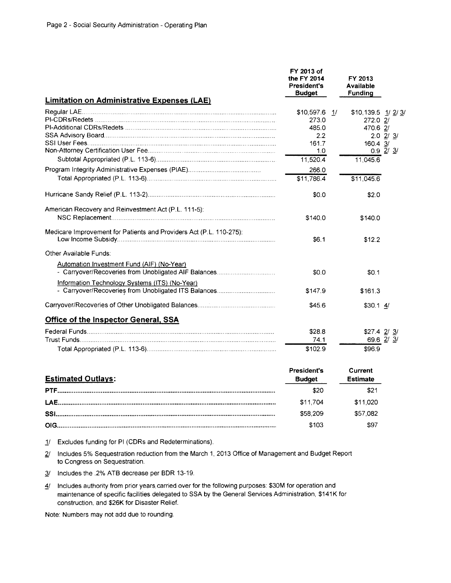|                                                                     | FY 2013 of<br>the FY 2014<br>President's<br><b>Budget</b> | FY 2013<br><b>Available</b><br><b>Funding</b> |                 |
|---------------------------------------------------------------------|-----------------------------------------------------------|-----------------------------------------------|-----------------|
| <b>Limitation on Administrative Expenses (LAE)</b>                  |                                                           |                                               |                 |
|                                                                     | $$10,597.6$ 1/                                            | \$10,139.5 1/2/3                              |                 |
|                                                                     | 273.0                                                     | 272.0 2/                                      |                 |
|                                                                     | 485.0                                                     | 470.6 2/                                      |                 |
|                                                                     | 2.2                                                       |                                               | $2.0$ $2/$ $3/$ |
|                                                                     | 161.7<br>1.0                                              | 160.4 3/                                      | $0.9$ $2/$ $3/$ |
|                                                                     | 11,520.4                                                  | 11,045.6                                      |                 |
|                                                                     |                                                           |                                               |                 |
|                                                                     | 266.0                                                     |                                               |                 |
|                                                                     | \$11,786.4                                                | \$11,045.6                                    |                 |
|                                                                     | \$0.0                                                     | \$2.0                                         |                 |
| American Recovery and Reinvestment Act (P.L. 111-5):                |                                                           |                                               |                 |
|                                                                     | \$140.0                                                   | \$140.0                                       |                 |
| Medicare Improvement for Patients and Providers Act (P.L. 110-275): |                                                           |                                               |                 |
|                                                                     | \$6.1                                                     | \$12.2                                        |                 |
| Other Available Funds:                                              |                                                           |                                               |                 |
| Automation Investment Fund (AIF) (No-Year)                          |                                                           |                                               |                 |
| - Carryover/Recoveries from Unobligated AIF Balances                | \$0.0                                                     | \$0.1                                         |                 |
| Information Technology Systems (ITS) (No-Year)                      |                                                           |                                               |                 |
|                                                                     | \$147.9                                                   | \$161.3                                       |                 |
|                                                                     | \$45.6                                                    | \$30.14/                                      |                 |
| <b>Office of the Inspector General, SSA</b>                         |                                                           |                                               |                 |
|                                                                     | \$28.8                                                    | $$27.4$ 2/ 3/                                 |                 |
|                                                                     | 74.1                                                      |                                               | 69.6 $2/3/$     |
|                                                                     | \$102.9                                                   | \$96.9                                        |                 |

| <b>Estimated Outlays:</b> | <b>President's</b><br><b>Budget</b> | Current<br><b>Estimate</b> |
|---------------------------|-------------------------------------|----------------------------|
|                           | \$20                                | \$21                       |
|                           | \$11.704                            | \$11.020                   |
|                           | \$58.209                            | \$57,082                   |
|                           | \$103                               | \$97                       |

1/ Excludes funding for PI (CDRs and Redeterminations).

- 2/ Includes 5% Sequestration reduction from the March 1, 2013 Office of Management and Budget Report to Congress on Sequestration.
- 3/ Includes the .2% ATB decrease per BDR 13-19.
- 4/ Includes authority from prior years carried over for the following purposes: \$30M for operation and maintenance of specific facilities delegated to SSA by the General Services Administration, \$141K for construction, and \$26K for Disaster Relief.

Note: Numbers may not add due to rounding.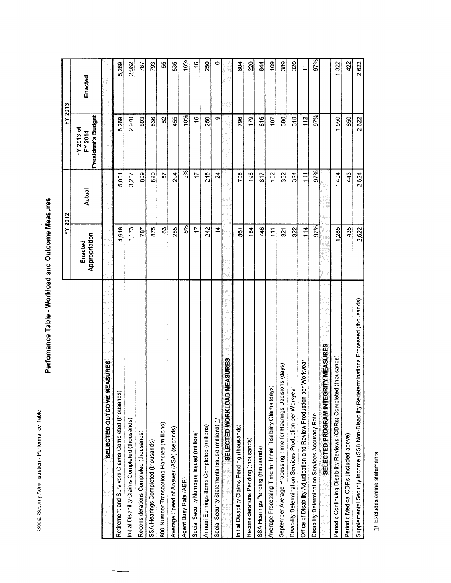Social Security Administration - Performance Table

# Perfornance Table - Workload and Outcome Measures

|                                                                                          |                          | FY 2012         |                                             | FY 2013     |
|------------------------------------------------------------------------------------------|--------------------------|-----------------|---------------------------------------------|-------------|
|                                                                                          | Appropriation<br>Enacted | <b>Actual</b>   | President's Budget<br>FY 2013 of<br>FY 2014 | Enacted     |
| EASURES<br>SELECTED OUTCOME M                                                            |                          |                 |                                             |             |
| Retirement and Survivors Claims Completed (thousands)                                    | 4.918                    | 5,001           | 5,269                                       | 5,269       |
| Initial Disability Claims Completed (thousands)                                          | 3,173                    | 3,207           | 2,970                                       | 2,962       |
| Reconsiderations Completed (thousands)                                                   | 787                      | 809             | 803                                         | 787         |
| SSA Hearings Completed (thousands)                                                       | 875                      | 820             | 836                                         | 793         |
| 800-Number Transactions Handled (millions)                                               | 3                        | 57              | 2                                           | 55          |
| Average Speed of Answer (ASA) (seconds)                                                  | 285                      | 294             | 455                                         | 535         |
| Agent Busy Rate (ABR)                                                                    | 6%                       | 5%              | 10%                                         | 16%         |
| Social Security Numbers Issued (millions)                                                | $\ddot{ }$               | $\overline{1}$  | $\frac{6}{5}$                               | $\tilde{e}$ |
| Annual Earnings Items Completed (millions)                                               | 242                      | 245             | 250                                         | 250         |
| Social Security Statements Issued (millions) 1                                           | $\tilde{a}$              | $\overline{24}$ | o,                                          | $\circ$     |
| EASURES<br>SELECTED WORKLOAD M                                                           |                          |                 |                                             |             |
| nitial Disability Claims Pending (thousands)                                             | 861                      | 708             | 796                                         | 804         |
| Reconsiderations Pending (thousands)                                                     | 184                      | 198             | 179                                         | 220         |
| SSA Hearings Pending (thousands)                                                         | 746                      | 817             | 816                                         | 844         |
| Average Processing Time for Initial Disability Claims (days)                             | 111                      | $\frac{2}{3}$   | 107                                         | 109         |
| September Average Processing Time for Hearings Decisions (days)                          | 321                      | 362             | 380                                         | 389         |
| Disability Determination Services Production per Workyear                                | 322                      | 324             | 318                                         | 320         |
| Workyear<br>Office of Disability Adjudication and Review Production per                  | 114                      | $\frac{1}{11}$  | 112                                         | 111         |
| Disability Determination Services Accuracy Rate                                          | 97%                      | 97%             | 97%                                         | 97%         |
| <b>ITY MEASURES</b><br>SELECTED PROGRAM INTEGR                                           |                          |                 |                                             |             |
| (thousands)<br>Periodic Continuing Disability Reviews (CDRs) Completed                   | 1,285                    | 1,404           | 1,550                                       | 1,322       |
| Periodic Medical CDRs (included above)                                                   | 435                      | 443             | 650                                         | 422         |
| Supplemental Security Income (SSI) Non-Disability Redeterminations Processed (thousands) | 2,622                    | 2,624           | 2,622                                       | 2,622       |

1/ Excludes online statements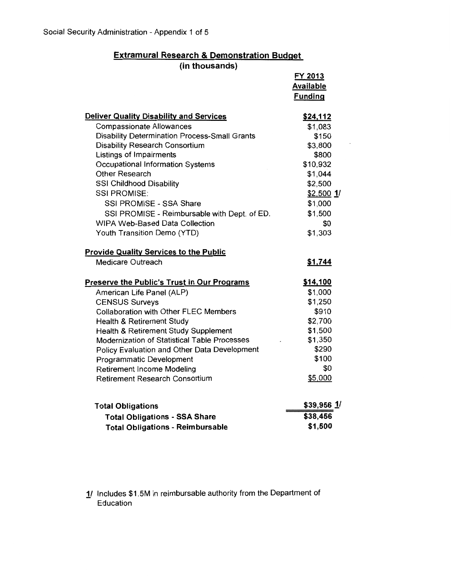# **Extramural Research & Demonstration Budget**

| (in thousands)                                       |                                               |
|------------------------------------------------------|-----------------------------------------------|
|                                                      | FY 2013<br><b>Available</b><br><b>Funding</b> |
| <b>Deliver Quality Disability and Services</b>       | \$24,112                                      |
| <b>Compassionate Allowances</b>                      | \$1,083                                       |
| <b>Disability Determination Process-Small Grants</b> | \$150                                         |
| Disability Research Consortium                       | \$3,800                                       |
| Listings of Impairments                              | \$800                                         |
| Occupational Information Systems                     | \$10,932                                      |
| Other Research                                       | \$1,044                                       |
| <b>SSI Childhood Disability</b>                      | \$2,500                                       |
| <b>SSI PROMISE:</b>                                  | $$2,500$ 1/                                   |
| SSI PROMISE - SSA Share                              | \$1,000                                       |
| SSI PROMISE - Reimbursable with Dept. of ED.         | \$1,500                                       |
| WIPA Web-Based Data Collection                       | \$0                                           |
| Youth Transition Demo (YTD)                          | \$1,303                                       |
| <b>Provide Quality Services to the Public</b>        |                                               |
| Medicare Outreach                                    | \$1,744                                       |
| <b>Preserve the Public's Trust in Our Programs</b>   | \$14,100                                      |
| American Life Panel (ALP)                            | \$1,000                                       |
| <b>CENSUS Surveys</b>                                | \$1,250                                       |
| <b>Collaboration with Other FLEC Members</b>         | \$910                                         |
| Health & Retirement Study                            | \$2,700                                       |
| Health & Retirement Study Supplement                 | \$1,500                                       |
| Modernization of Statistical Table Processes         | \$1,350                                       |
| Policy Evaluation and Other Data Development         | \$290                                         |
| Programmatic Development                             | \$100                                         |
| <b>Retirement Income Modeling</b>                    | \$0                                           |
| Retirement Research Consortium                       | \$5,000                                       |
| <b>Total Obligations</b>                             | \$39,956 1/                                   |
| <b>Total Obligations - SSA Share</b>                 | \$38,456                                      |
| <b>Total Obligations - Reimbursable</b>              | \$1,500                                       |

1/ Includes \$1.5M in reimbursable authority from the Department of Education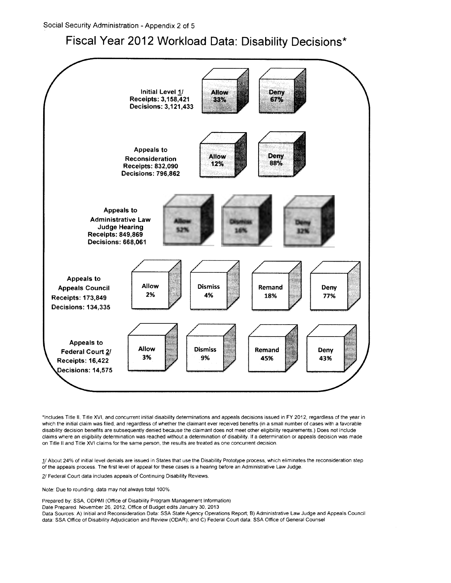# Fiscal Year 2012 Workload Data: Disability Decisions\*



\*Includes Title II, Title XVI, and concurrent initial disability determinations and appeals decisions issued in FY 2012, regardless of the year in which the initial claim was filed, and regardless of whether the claimant ever received benefits (in a small number of cases with a favorable disability decision benefits are subsequently denied because the claimant does not meet other eligibility requirements.) Does not include claims where an eligibility determination was reached without a determination of disability. If a determination or appeals decision was made on Title II and Title XVI claims for the same person, the results are treated as one concurrent decision.

1/ About 24% of initial level denials are issued in States that use the Disability Prototype process, which eliminates the reconsideration step of the appeals process. The first level of appeal for these cases is a hearing before an Administrative Law Judge.

2/ Federal Court data includes appeals of Continuing Disability Reviews.

Note: Due to rounding, data may not always total 100%.

Prepared by: SSA, ODPMI (Office of Disability Program Management Information)

Date Prepared: November 26, 2012, Office of Budget edits January 30, 2013

Data Sources: A) Initial and Reconsideration Data: SSA State Agency Operations Report; B) Administrative Law Judge and Appeals Council data: SSA Office of Disability Adjudication and Review (ODAR); and C) Federal Court data: SSA Office of General Counsel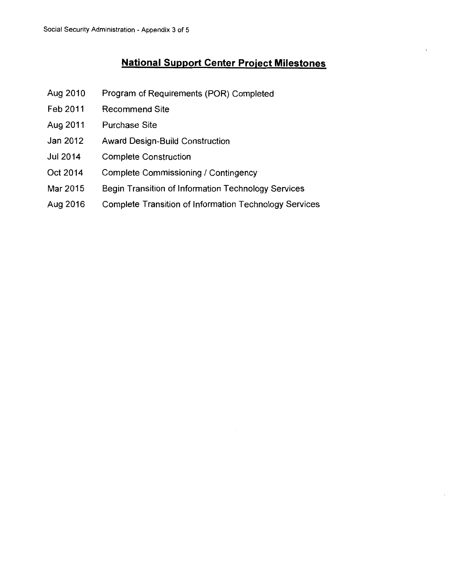# **National Support Center Project Milestones**

- Aug 2010 Program of Requirements (POR) Completed
- Feb 2011 **Recommend Site**
- Aug 2011 **Purchase Site**
- Award Design-Build Construction Jan 2012
- **Complete Construction** Jul 2014
- Oct 2014 Complete Commissioning / Contingency
- Begin Transition of Information Technology Services Mar 2015
- Aug 2016 **Complete Transition of Information Technology Services**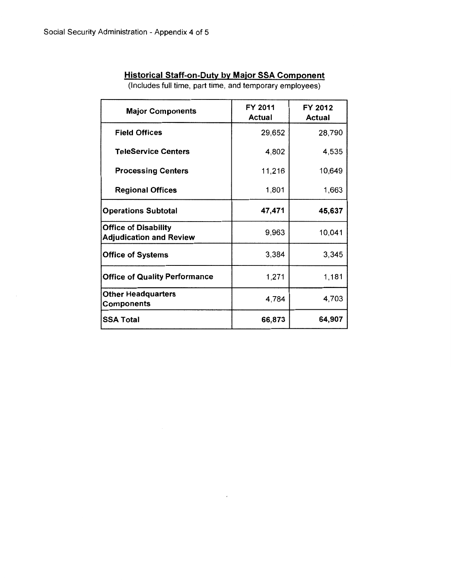| <b>Major Components</b>                                       | FY 2011<br>Actual | FY 2012<br>Actual |
|---------------------------------------------------------------|-------------------|-------------------|
| <b>Field Offices</b>                                          | 29,652            | 28,790            |
| <b>TeleService Centers</b>                                    | 4,802             | 4,535             |
| <b>Processing Centers</b>                                     | 11,216            | 10,649            |
| <b>Regional Offices</b>                                       | 1,801             | 1,663             |
| <b>Operations Subtotal</b>                                    | 47,471            | 45,637            |
| <b>Office of Disability</b><br><b>Adjudication and Review</b> | 9,963             | 10,041            |
| <b>Office of Systems</b>                                      | 3,384             | 3,345             |
| <b>Office of Quality Performance</b>                          | 1,271             | 1,181             |
| <b>Other Headquarters</b><br><b>Components</b>                | 4,784             | 4,703             |
| <b>SSA Total</b>                                              | 66,873            | 64,907            |

# **Historical Staff-on-Duty by Major SSA Component**

(Includes full time, part time, and temporary employees)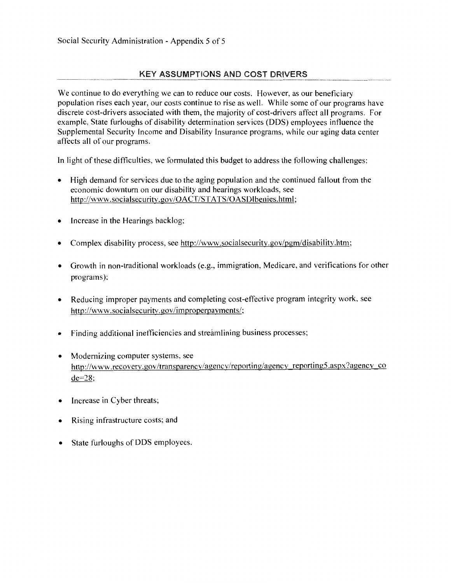#### **KEY ASSUMPTIONS AND COST DRIVERS**

We continue to do everything we can to reduce our costs. However, as our beneficiary population rises each year, our costs continue to rise as well. While some of our programs have discrete cost-drivers associated with them, the majority of cost-drivers affect all programs. For example, State furloughs of disability determination services (DDS) employees influence the Supplemental Security Income and Disability Insurance programs, while our aging data center affects all of our programs.

In light of these difficulties, we formulated this budget to address the following challenges:

- High demand for services due to the aging population and the continued fallout from the  $\bullet$ economic downturn on our disability and hearings workloads, see http://www.socialsecurity.gov/OACT/STATS/OASDIbenies.html;
- Increase in the Hearings backlog;  $\bullet$
- Complex disability process, see http://www.socialsecurity.gov/pgm/disability.htm;
- Growth in non-traditional workloads (e.g., immigration, Medicare, and verifications for other programs);
- Reducing improper payments and completing cost-effective program integrity work, see  $\bullet$ http://www.socialsecurity.gov/improperpayments/;
- Finding additional inefficiencies and streamlining business processes;  $\bullet$
- Modernizing computer systems, see  $\bullet$ http://www.recovery.gov/transparency/agency/reporting/agency reporting5.aspx?agency co  $de=28$ ;
- Increase in Cyber threats;
- Rising infrastructure costs; and
- State furloughs of DDS employees.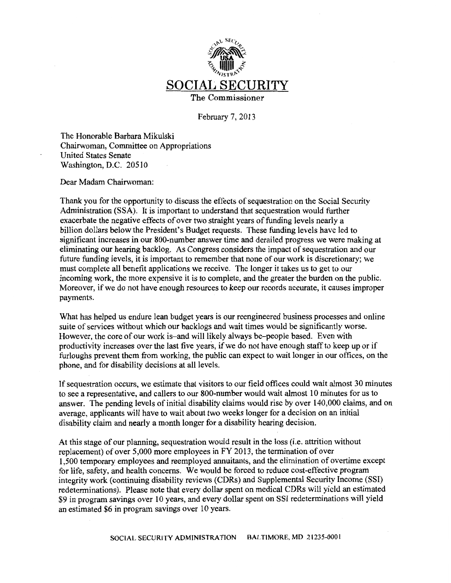

February 7, 2013

The Honorable Barbara Mikulski Chairwoman, Committee on Appropriations **United States Senate** Washington, D.C. 20510

Dear Madam Chairwoman:

Thank you for the opportunity to discuss the effects of sequestration on the Social Security Administration (SSA). It is important to understand that sequestration would further exacerbate the negative effects of over two straight years of funding levels nearly a billion dollars below the President's Budget requests. These funding levels have led to significant increases in our 800-number answer time and derailed progress we were making at eliminating our hearing backlog. As Congress considers the impact of sequestration and our future funding levels, it is important to remember that none of our work is discretionary; we must complete all benefit applications we receive. The longer it takes us to get to our incoming work, the more expensive it is to complete, and the greater the burden on the public. Moreover, if we do not have enough resources to keep our records accurate, it causes improper payments.

What has helped us endure lean budget years is our reengineered business processes and online suite of services without which our backlogs and wait times would be significantly worse. However, the core of our work is-and will likely always be-people based. Even with productivity increases over the last five years, if we do not have enough staff to keep up or if furloughs prevent them from working, the public can expect to wait longer in our offices, on the phone, and for disability decisions at all levels.

If sequestration occurs, we estimate that visitors to our field offices could wait almost 30 minutes to see a representative, and callers to our 800-number would wait almost 10 minutes for us to answer. The pending levels of initial disability claims would rise by over 140,000 claims, and on average, applicants will have to wait about two weeks longer for a decision on an initial disability claim and nearly a month longer for a disability hearing decision.

At this stage of our planning, sequestration would result in the loss (i.e. attrition without replacement) of over 5,000 more employees in FY 2013, the termination of over 1,500 temporary employees and reemployed annuitants, and the elimination of overtime except for life, safety, and health concerns. We would be forced to reduce cost-effective program integrity work (continuing disability reviews (CDRs) and Supplemental Security Income (SSI) redeterminations). Please note that every dollar spent on medical CDRs will yield an estimated \$9 in program savings over 10 years, and every dollar spent on SSI redeterminations will yield an estimated \$6 in program savings over 10 years.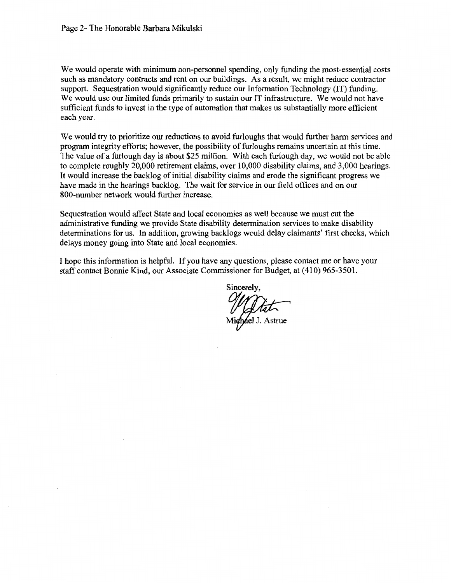We would operate with minimum non-personnel spending, only funding the most-essential costs such as mandatory contracts and rent on our buildings. As a result, we might reduce contractor support. Sequestration would significantly reduce our Information Technology (IT) funding. We would use our limited funds primarily to sustain our IT infrastructure. We would not have sufficient funds to invest in the type of automation that makes us substantially more efficient each year.

We would try to prioritize our reductions to avoid furloughs that would further harm services and program integrity efforts; however, the possibility of furloughs remains uncertain at this time. The value of a furlough day is about \$25 million. With each furlough day, we would not be able to complete roughly 20,000 retirement claims, over 10,000 disability claims, and 3,000 hearings. It would increase the backlog of initial disability claims and erode the significant progress we have made in the hearings backlog. The wait for service in our field offices and on our 800-number network would further increase.

Sequestration would affect State and local economies as well because we must cut the administrative funding we provide State disability determination services to make disability determinations for us. In addition, growing backlogs would delay claimants' first checks, which delays money going into State and local economies.

I hope this information is helpful. If you have any questions, please contact me or have your staff contact Bonnie Kind, our Associate Commissioner for Budget, at (410) 965-3501.

Sincerely.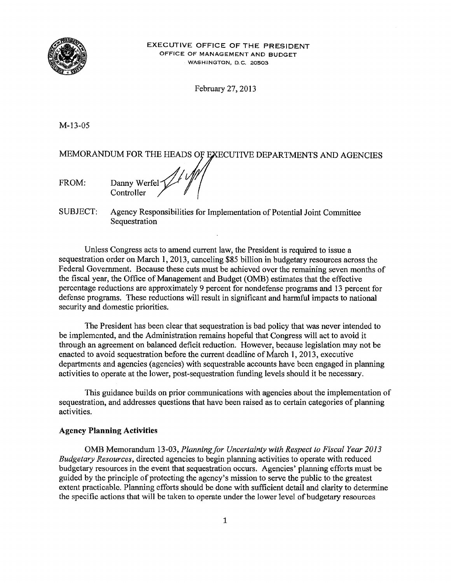

#### EXECUTIVE OFFICE OF THE PRESIDENT OFFICE OF MANAGEMENT AND BUDGET WASHINGTON, D.C. 20503

February 27, 2013

 $M-13-05$ 

#### MEMORANDUM FOR THE HEADS OF EXECUTIVE DEPARTMENTS AND AGENCIES

Danny Werfel-FROM: Controller

SUBJECT: Agency Responsibilities for Implementation of Potential Joint Committee Sequestration

Unless Congress acts to amend current law, the President is required to issue a sequestration order on March 1, 2013, canceling \$85 billion in budgetary resources across the Federal Government. Because these cuts must be achieved over the remaining seven months of the fiscal year, the Office of Management and Budget (OMB) estimates that the effective percentage reductions are approximately 9 percent for nondefense programs and 13 percent for defense programs. These reductions will result in significant and harmful impacts to national security and domestic priorities.

The President has been clear that sequestration is bad policy that was never intended to be implemented, and the Administration remains hopeful that Congress will act to avoid it through an agreement on balanced deficit reduction. However, because legislation may not be enacted to avoid sequestration before the current deadline of March 1, 2013, executive departments and agencies (agencies) with sequestrable accounts have been engaged in planning activities to operate at the lower, post-sequestration funding levels should it be necessary.

This guidance builds on prior communications with agencies about the implementation of sequestration, and addresses questions that have been raised as to certain categories of planning activities.

#### **Agency Planning Activities**

OMB Memorandum 13-03, Planning for Uncertainty with Respect to Fiscal Year 2013 Budgetary Resources, directed agencies to begin planning activities to operate with reduced budgetary resources in the event that sequestration occurs. Agencies' planning efforts must be guided by the principle of protecting the agency's mission to serve the public to the greatest extent practicable. Planning efforts should be done with sufficient detail and clarity to determine the specific actions that will be taken to operate under the lower level of budgetary resources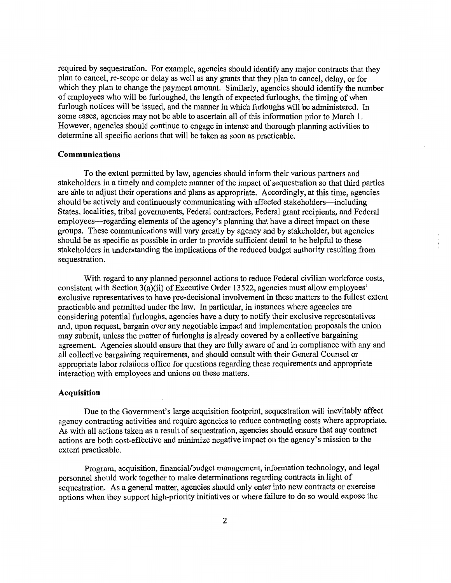required by sequestration. For example, agencies should identify any major contracts that they plan to cancel, re-scope or delay as well as any grants that they plan to cancel, delay, or for which they plan to change the payment amount. Similarly, agencies should identify the number of employees who will be furloughed, the length of expected furloughs, the timing of when furlough notices will be issued, and the manner in which furloughs will be administered. In some cases, agencies may not be able to ascertain all of this information prior to March 1. However, agencies should continue to engage in intense and thorough planning activities to determine all specific actions that will be taken as soon as practicable.

#### Communications

To the extent permitted by law, agencies should inform their various partners and stakeholders in a timely and complete manner of the impact of sequestration so that third parties are able to adjust their operations and plans as appropriate. Accordingly, at this time, agencies should be actively and continuously communicating with affected stakeholders—including States, localities, tribal governments, Federal contractors, Federal grant recipients, and Federal employees—regarding elements of the agency's planning that have a direct impact on these groups. These communications will vary greatly by agency and by stakeholder, but agencies should be as specific as possible in order to provide sufficient detail to be helpful to these stakeholders in understanding the implications of the reduced budget authority resulting from sequestration.

With regard to any planned personnel actions to reduce Federal civilian workforce costs, consistent with Section 3(a)(ii) of Executive Order 13522, agencies must allow employees' exclusive representatives to have pre-decisional involvement in these matters to the fullest extent practicable and permitted under the law. In particular, in instances where agencies are considering potential furloughs, agencies have a duty to notify their exclusive representatives and, upon request, bargain over any negotiable impact and implementation proposals the union may submit, unless the matter of furloughs is already covered by a collective bargaining agreement. Agencies should ensure that they are fully aware of and in compliance with any and all collective bargaining requirements, and should consult with their General Counsel or appropriate labor relations office for questions regarding these requirements and appropriate interaction with employees and unions on these matters.

#### Acquisition

Due to the Government's large acquisition footprint, sequestration will inevitably affect agency contracting activities and require agencies to reduce contracting costs where appropriate. As with all actions taken as a result of sequestration, agencies should ensure that any contract actions are both cost-effective and minimize negative impact on the agency's mission to the extent practicable.

Program, acquisition, financial/budget management, information technology, and legal personnel should work together to make determinations regarding contracts in light of sequestration. As a general matter, agencies should only enter into new contracts or exercise options when they support high-priority initiatives or where failure to do so would expose the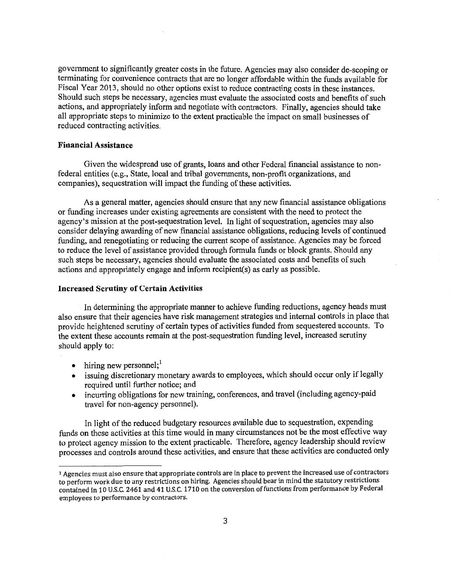government to significantly greater costs in the future. Agencies may also consider de-scoping or terminating for convenience contracts that are no longer affordable within the funds available for Fiscal Year 2013, should no other options exist to reduce contracting costs in these instances. Should such steps be necessary, agencies must evaluate the associated costs and benefits of such actions, and appropriately inform and negotiate with contractors. Finally, agencies should take all appropriate steps to minimize to the extent practicable the impact on small businesses of reduced contracting activities.

#### **Financial Assistance**

Given the widespread use of grants, loans and other Federal financial assistance to nonfederal entities (e.g., State, local and tribal governments, non-profit organizations, and companies), sequestration will impact the funding of these activities.

As a general matter, agencies should ensure that any new financial assistance obligations or funding increases under existing agreements are consistent with the need to protect the agency's mission at the post-sequestration level. In light of sequestration, agencies may also consider delaying awarding of new financial assistance obligations, reducing levels of continued funding, and renegotiating or reducing the current scope of assistance. Agencies may be forced to reduce the level of assistance provided through formula funds or block grants. Should any such steps be necessary, agencies should evaluate the associated costs and benefits of such actions and appropriately engage and inform recipient(s) as early as possible.

#### **Increased Scrutiny of Certain Activities**

In determining the appropriate manner to achieve funding reductions, agency heads must also ensure that their agencies have risk management strategies and internal controls in place that provide heightened scrutiny of certain types of activities funded from sequestered accounts. To the extent these accounts remain at the post-sequestration funding level, increased scrutiny should apply to:

- $\bullet$  hiring new personnel;<sup>1</sup>
- issuing discretionary monetary awards to employees, which should occur only if legally required until further notice; and
- incurring obligations for new training, conferences, and travel (including agency-paid  $\bullet$ travel for non-agency personnel).

In light of the reduced budgetary resources available due to sequestration, expending funds on these activities at this time would in many circumstances not be the most effective way to protect agency mission to the extent practicable. Therefore, agency leadership should review processes and controls around these activities, and ensure that these activities are conducted only

<sup>&</sup>lt;sup>1</sup> Agencies must also ensure that appropriate controls are in place to prevent the increased use of contractors to perform work due to any restrictions on hiring. Agencies should bear in mind the statutory restrictions contained in 10 U.S.C. 2461 and 41 U.S.C. 1710 on the conversion of functions from performance by Federal employees to performance by contractors.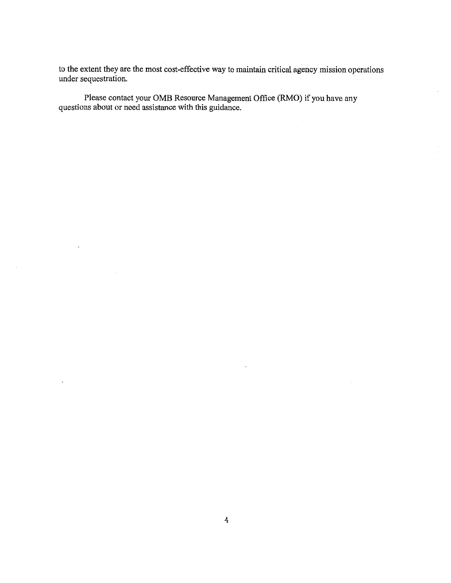to the extent they are the most cost-effective way to maintain critical agency mission operations under sequestration.

Please contact your OMB Resource Management Office (RMO) if you have any questions about or need assistance with this guidance.

 $\ddot{\phantom{a}}$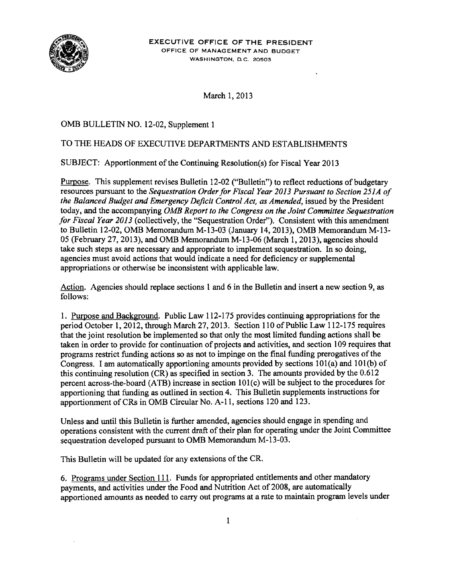

March 1, 2013

OMB BULLETIN NO. 12-02, Supplement 1

#### TO THE HEADS OF EXECUTIVE DEPARTMENTS AND ESTABLISHMENTS

SUBJECT: Apportionment of the Continuing Resolution(s) for Fiscal Year 2013

Purpose. This supplement revises Bulletin 12-02 ("Bulletin") to reflect reductions of budgetary resources pursuant to the Sequestration Order for Fiscal Year 2013 Pursuant to Section 251A of the Balanced Budget and Emergency Deficit Control Act, as Amended, issued by the President today, and the accompanying OMB Report to the Congress on the Joint Committee Sequestration for Fiscal Year 2013 (collectively, the "Sequestration Order"). Consistent with this amendment to Bulletin 12-02, OMB Memorandum M-13-03 (January 14, 2013), OMB Memorandum M-13-05 (February 27, 2013), and OMB Memorandum M-13-06 (March 1, 2013), agencies should take such steps as are necessary and appropriate to implement sequestration. In so doing, agencies must avoid actions that would indicate a need for deficiency or supplemental appropriations or otherwise be inconsistent with applicable law.

Action. Agencies should replace sections 1 and 6 in the Bulletin and insert a new section 9, as follows:

1. Purpose and Background. Public Law 112-175 provides continuing appropriations for the period October 1, 2012, through March 27, 2013. Section 110 of Public Law 112-175 requires that the joint resolution be implemented so that only the most limited funding actions shall be taken in order to provide for continuation of projects and activities, and section 109 requires that programs restrict funding actions so as not to impinge on the final funding prerogatives of the Congress. I am automatically apportioning amounts provided by sections  $101(a)$  and  $101(b)$  of this continuing resolution  $(CR)$  as specified in section 3. The amounts provided by the  $0.612$ percent across-the-board (ATB) increase in section 101(c) will be subject to the procedures for apportioning that funding as outlined in section 4. This Bulletin supplements instructions for apportionment of CRs in OMB Circular No. A-11, sections 120 and 123.

Unless and until this Bulletin is further amended, agencies should engage in spending and operations consistent with the current draft of their plan for operating under the Joint Committee sequestration developed pursuant to OMB Memorandum M-13-03.

This Bulletin will be updated for any extensions of the CR.

6. Programs under Section 111. Funds for appropriated entitlements and other mandatory payments, and activities under the Food and Nutrition Act of 2008, are automatically apportioned amounts as needed to carry out programs at a rate to maintain program levels under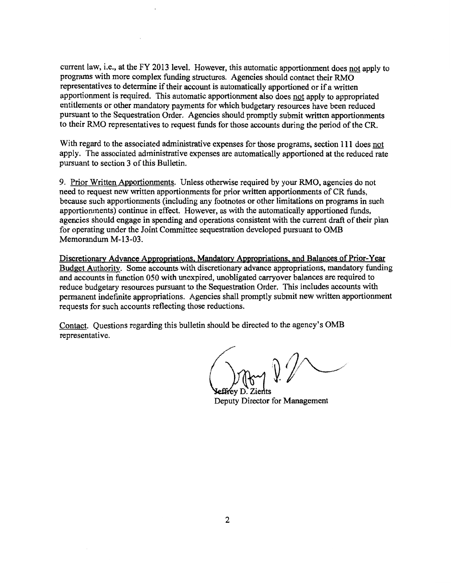current law, i.e., at the FY 2013 level. However, this automatic apportionment does not apply to programs with more complex funding structures. Agencies should contact their RMO representatives to determine if their account is automatically apportioned or if a written apportionment is required. This automatic apportionment also does not apply to appropriated entitlements or other mandatory payments for which budgetary resources have been reduced pursuant to the Sequestration Order. Agencies should promptly submit written apportionments to their RMO representatives to request funds for those accounts during the period of the CR.

With regard to the associated administrative expenses for those programs, section 111 does not apply. The associated administrative expenses are automatically apportioned at the reduced rate pursuant to section 3 of this Bulletin.

9. Prior Written Apportionments. Unless otherwise required by your RMO, agencies do not need to request new written apportionments for prior written apportionments of CR funds, because such apportionments (including any footnotes or other limitations on programs in such apportionments) continue in effect. However, as with the automatically apportioned funds, agencies should engage in spending and operations consistent with the current draft of their plan for operating under the Joint Committee sequestration developed pursuant to OMB Memorandum M-13-03.

Discretionary Advance Appropriations, Mandatory Appropriations, and Balances of Prior-Year Budget Authority. Some accounts with discretionary advance appropriations, mandatory funding and accounts in function 050 with unexpired, unobligated carryover balances are required to reduce budgetary resources pursuant to the Sequestration Order. This includes accounts with permanent indefinite appropriations. Agencies shall promptly submit new written apportionment requests for such accounts reflecting those reductions.

Contact. Questions regarding this bulletin should be directed to the agency's OMB representative.

Deputy Director for Management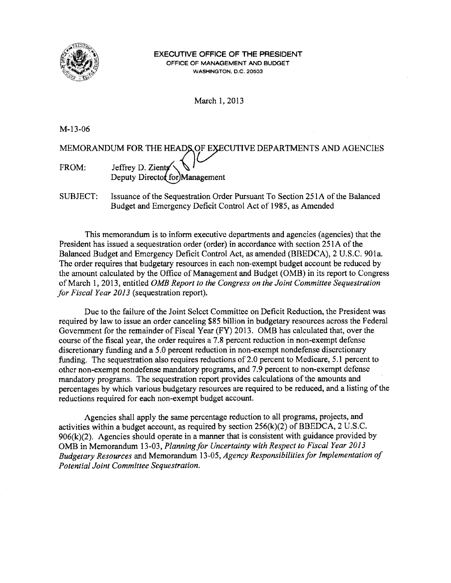

#### EXECUTIVE OFFICE OF THE PRESIDENT OFFICE OF MANAGEMENT AND BUDGET WASHINGTON, D.C. 20503

March 1, 2013

 $M-13-06$ 

MEMORANDUM FOR THE HEADS OF EXECUTIVE DEPARTMENTS AND AGENCIES

Jeffrey D. Zients FROM: Deputy Director for)Management

**SUBJECT:** Issuance of the Sequestration Order Pursuant To Section 251A of the Balanced Budget and Emergency Deficit Control Act of 1985, as Amended

This memorandum is to inform executive departments and agencies (agencies) that the President has issued a sequestration order (order) in accordance with section 251A of the Balanced Budget and Emergency Deficit Control Act, as amended (BBEDCA), 2 U.S.C. 901a. The order requires that budgetary resources in each non-exempt budget account be reduced by the amount calculated by the Office of Management and Budget (OMB) in its report to Congress of March 1, 2013, entitled OMB Report to the Congress on the Joint Committee Sequestration for Fiscal Year 2013 (sequestration report).

Due to the failure of the Joint Select Committee on Deficit Reduction, the President was required by law to issue an order canceling \$85 billion in budgetary resources across the Federal Government for the remainder of Fiscal Year (FY) 2013. OMB has calculated that, over the course of the fiscal year, the order requires a 7.8 percent reduction in non-exempt defense discretionary funding and a 5.0 percent reduction in non-exempt nondefense discretionary funding. The sequestration also requires reductions of 2.0 percent to Medicare, 5.1 percent to other non-exempt nondefense mandatory programs, and 7.9 percent to non-exempt defense mandatory programs. The sequestration report provides calculations of the amounts and percentages by which various budgetary resources are required to be reduced, and a listing of the reductions required for each non-exempt budget account.

Agencies shall apply the same percentage reduction to all programs, projects, and activities within a budget account, as required by section  $256(k)(2)$  of BBEDCA, 2 U.S.C.  $906(k)(2)$ . Agencies should operate in a manner that is consistent with guidance provided by OMB in Memorandum 13-03, Planning for Uncertainty with Respect to Fiscal Year 2013 Budgetary Resources and Memorandum 13-05, Agency Responsibilities for Implementation of Potential Joint Committee Sequestration.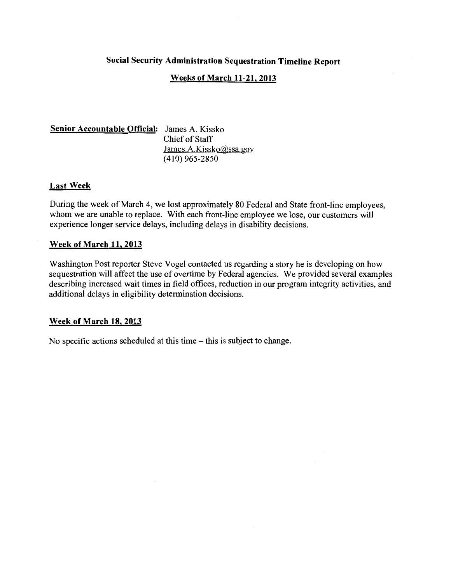#### **Weeks of March 11-21, 2013**

#### Senior Accountable Official: James A. Kissko Chief of Staff James.A.Kissko@ssa.gov  $(410)$  965-2850

#### **Last Week**

During the week of March 4, we lost approximately 80 Federal and State front-line employees, whom we are unable to replace. With each front-line employee we lose, our customers will experience longer service delays, including delays in disability decisions.

#### **Week of March 11, 2013**

Washington Post reporter Steve Vogel contacted us regarding a story he is developing on how sequestration will affect the use of overtime by Federal agencies. We provided several examples describing increased wait times in field offices, reduction in our program integrity activities, and additional delays in eligibility determination decisions.

#### Week of March 18, 2013

No specific actions scheduled at this time  $-$  this is subject to change.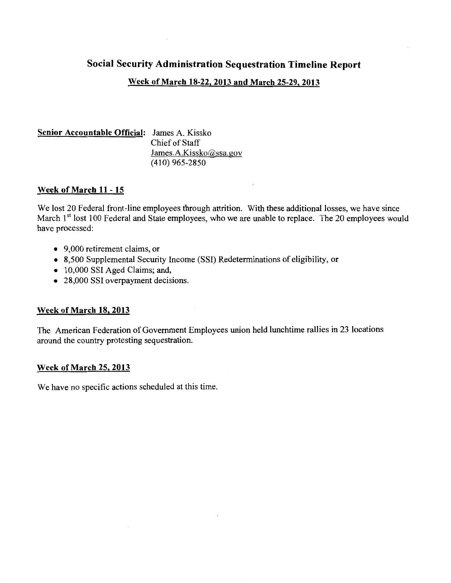#### Week of March 18-22, 2013 and March 25-29, 2013

Senior Accountable Official: James A. Kissko Chief of Staff James.A.Kissko@ssa.gov  $(410)$  965-2850

#### Week of March 11 - 15

We lost 20 Federal front-line employees through attrition. With these additional losses, we have since March 1<sup>st</sup> lost 100 Federal and State employees, who we are unable to replace. The 20 employees would have processed:

- 9,000 retirement claims, or
- 8,500 Supplemental Security Income (SSI) Redeterminations of eligibility, or
- 10,000 SSI Aged Claims; and,
- 28,000 SSI overpayment decisions.

#### **Week of March 18, 2013**

The American Federation of Government Employees union held lunchtime rallies in 23 locations around the country protesting sequestration.

#### **Week of March 25, 2013**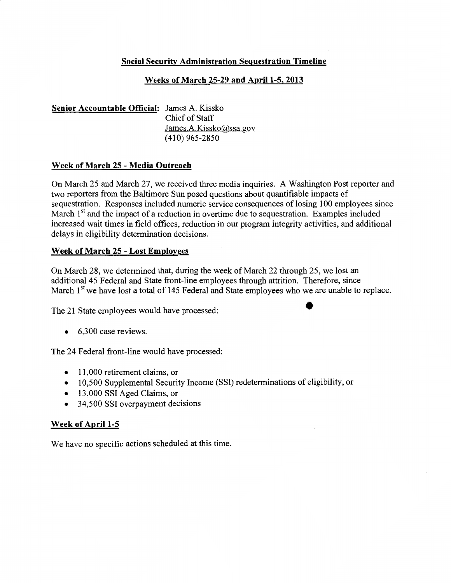# Weeks of March 25-29 and April 1-5, 2013

# Senior Accountable Official: James A. Kissko Chief of Staff James.A.Kissko@ssa.gov  $(410)$  965-2850

#### Week of March 25 - Media Outreach

On March 25 and March 27, we received three media inquiries. A Washington Post reporter and two reporters from the Baltimore Sun posed questions about quantifiable impacts of sequestration. Responses included numeric service consequences of losing 100 employees since March 1<sup>st</sup> and the impact of a reduction in overtime due to sequestration. Examples included increased wait times in field offices, reduction in our program integrity activities, and additional delays in eligibility determination decisions.

#### **Week of March 25 - Lost Employees**

On March 28, we determined that, during the week of March 22 through 25, we lost an additional 45 Federal and State front-line employees through attrition. Therefore, since March 1<sup>st</sup> we have lost a total of 145 Federal and State employees who we are unable to replace.

The 21 State employees would have processed:

 $\bullet$  6,300 case reviews.

The 24 Federal front-line would have processed:

- $\bullet$  11,000 retirement claims, or
- 10,500 Supplemental Security Income (SSI) redeterminations of eligibility, or
- 13,000 SSI Aged Claims, or
- 34,500 SSI overpayment decisions

# **Week of April 1-5**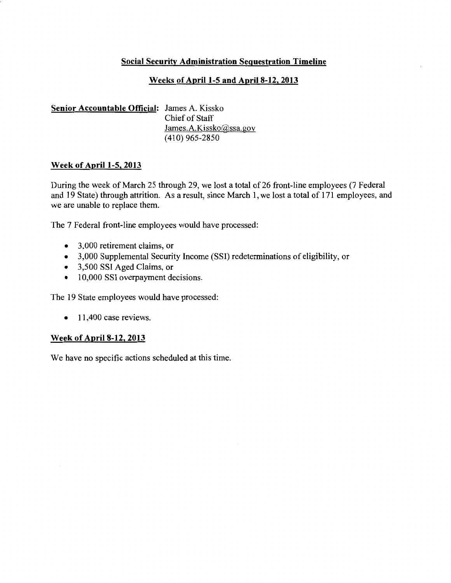# Weeks of April 1-5 and April 8-12, 2013

# Senior Accountable Official: James A. Kissko Chief of Staff James.A.Kissko@ssa.gov  $(410)$  965-2850

#### **Week of April 1-5, 2013**

During the week of March 25 through 29, we lost a total of 26 front-line employees (7 Federal and 19 State) through attrition. As a result, since March 1, we lost a total of 171 employees, and we are unable to replace them.

The 7 Federal front-line employees would have processed:

- $\bullet$  3,000 retirement claims, or
- 3,000 Supplemental Security Income (SSI) redeterminations of eligibility, or
- 3,500 SSI Aged Claims, or
- 10,000 SSI overpayment decisions.

The 19 State employees would have processed:

 $\bullet$ 11,400 case reviews.

#### **Week of April 8-12, 2013**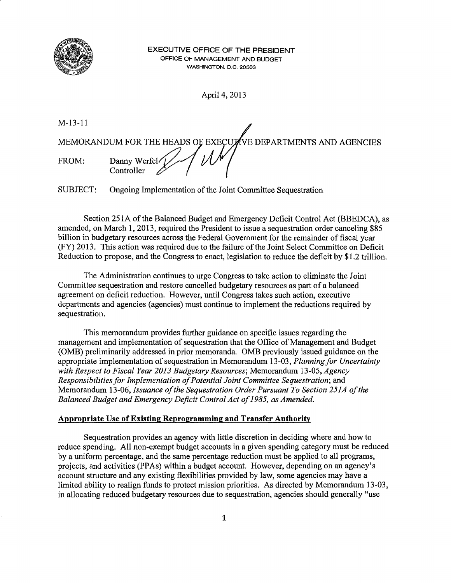

EXECUTIVE OFFICE OF THE PRESIDENT OFFICE OF MANAGEMENT AND BUDGET WASHINGTON, D.C. 20503

April 4, 2013

 $M-13-11$ 

MEMORANDUM FOR THE HEADS OF EXECUTIVE DEPARTMENTS AND AGENCIES Danny Werfel FROM: Controller

SUBJECT: Ongoing Implementation of the Joint Committee Sequestration

Section 251A of the Balanced Budget and Emergency Deficit Control Act (BBEDCA), as amended, on March 1, 2013, required the President to issue a sequestration order canceling \$85 billion in budgetary resources across the Federal Government for the remainder of fiscal year (FY) 2013. This action was required due to the failure of the Joint Select Committee on Deficit Reduction to propose, and the Congress to enact, legislation to reduce the deficit by \$1.2 trillion.

The Administration continues to urge Congress to take action to eliminate the Joint Committee sequestration and restore cancelled budgetary resources as part of a balanced agreement on deficit reduction. However, until Congress takes such action, executive departments and agencies (agencies) must continue to implement the reductions required by sequestration.

This memorandum provides further guidance on specific issues regarding the management and implementation of sequestration that the Office of Management and Budget (OMB) preliminarily addressed in prior memoranda. OMB previously issued guidance on the appropriate implementation of sequestration in Memorandum 13-03, Planning for Uncertainty with Respect to Fiscal Year 2013 Budgetary Resources; Memorandum 13-05, Agency Responsibilities for Implementation of Potential Joint Committee Sequestration; and Memorandum 13-06, Issuance of the Sequestration Order Pursuant To Section 251A of the Balanced Budget and Emergency Deficit Control Act of 1985, as Amended.

#### Appropriate Use of Existing Reprogramming and Transfer Authority

Sequestration provides an agency with little discretion in deciding where and how to reduce spending. All non-exempt budget accounts in a given spending category must be reduced by a uniform percentage, and the same percentage reduction must be applied to all programs, projects, and activities (PPAs) within a budget account. However, depending on an agency's account structure and any existing flexibilities provided by law, some agencies may have a limited ability to realign funds to protect mission priorities. As directed by Memorandum 13-03, in allocating reduced budgetary resources due to sequestration, agencies should generally "use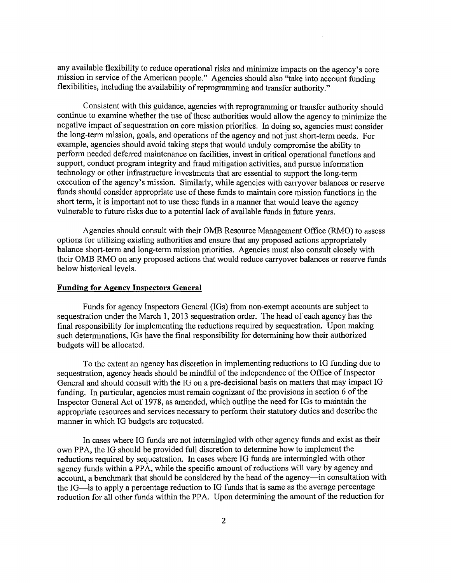any available flexibility to reduce operational risks and minimize impacts on the agency's core mission in service of the American people." Agencies should also "take into account funding flexibilities, including the availability of reprogramming and transfer authority."

Consistent with this guidance, agencies with reprogramming or transfer authority should continue to examine whether the use of these authorities would allow the agency to minimize the negative impact of sequestration on core mission priorities. In doing so, agencies must consider the long-term mission, goals, and operations of the agency and not just short-term needs. For example, agencies should avoid taking steps that would unduly compromise the ability to perform needed deferred maintenance on facilities, invest in critical operational functions and support, conduct program integrity and fraud mitigation activities, and pursue information technology or other infrastructure investments that are essential to support the long-term execution of the agency's mission. Similarly, while agencies with carryover balances or reserve funds should consider appropriate use of these funds to maintain core mission functions in the short term, it is important not to use these funds in a manner that would leave the agency vulnerable to future risks due to a potential lack of available funds in future years.

Agencies should consult with their OMB Resource Management Office (RMO) to assess options for utilizing existing authorities and ensure that any proposed actions appropriately balance short-term and long-term mission priorities. Agencies must also consult closely with their OMB RMO on any proposed actions that would reduce carryover balances or reserve funds below historical levels.

#### **Funding for Agency Inspectors General**

Funds for agency Inspectors General (IGs) from non-exempt accounts are subject to sequestration under the March 1, 2013 sequestration order. The head of each agency has the final responsibility for implementing the reductions required by sequestration. Upon making such determinations, IGs have the final responsibility for determining how their authorized budgets will be allocated.

To the extent an agency has discretion in implementing reductions to IG funding due to sequestration, agency heads should be mindful of the independence of the Office of Inspector General and should consult with the IG on a pre-decisional basis on matters that may impact IG funding. In particular, agencies must remain cognizant of the provisions in section 6 of the Inspector General Act of 1978, as amended, which outline the need for IGs to maintain the appropriate resources and services necessary to perform their statutory duties and describe the manner in which IG budgets are requested.

In cases where IG funds are not intermingled with other agency funds and exist as their own PPA, the IG should be provided full discretion to determine how to implement the reductions required by sequestration. In cases where IG funds are intermingled with other agency funds within a PPA, while the specific amount of reductions will vary by agency and account, a benchmark that should be considered by the head of the agency—in consultation with the IG—is to apply a percentage reduction to IG funds that is same as the average percentage reduction for all other funds within the PPA. Upon determining the amount of the reduction for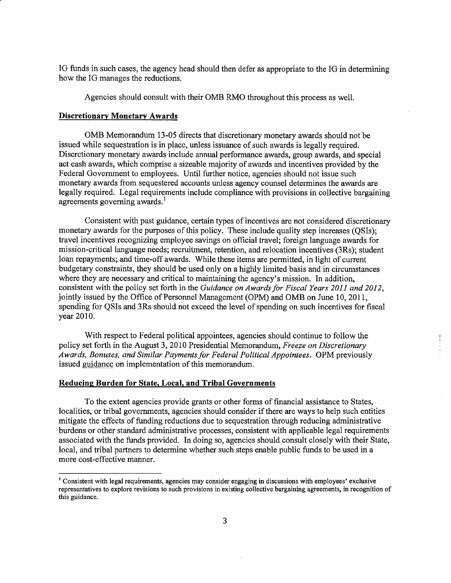IG funds in such cases, the agency head should then defer as appropriate to the IG in determining how the IG manages the reductions.

Agencies should consult with their OMB RMO throughout this process as well.

#### **Discretionary Monetary Awards**

OMB Memorandum 13-05 directs that discretionary monetary awards should not be issued while sequestration is in place, unless issuance of such awards is legally required. Discretionary monetary awards include annual performance awards, group awards, and special act cash awards, which comprise a sizeable majority of awards and incentives provided by the Federal Government to employees. Until further notice, agencies should not issue such monetary awards from sequestered accounts unless agency counsel determines the awards are legally required. Legal requirements include compliance with provisions in collective bargaining agreements governing awards.<sup>1</sup>

Consistent with past guidance, certain types of incentives are not considered discretionary monetary awards for the purposes of this policy. These include quality step increases (QSIs); travel incentives recognizing employee savings on official travel; foreign language awards for mission-critical language needs; recruitment, retention, and relocation incentives (3Rs); student loan repayments; and time-off awards. While these items are permitted, in light of current budgetary constraints, they should be used only on a highly limited basis and in circumstances where they are necessary and critical to maintaining the agency's mission. In addition, consistent with the policy set forth in the Guidance on Awards for Fiscal Years 2011 and 2012, jointly issued by the Office of Personnel Management (OPM) and OMB on June 10, 2011, spending for QSIs and 3Rs should not exceed the level of spending on such incentives for fiscal year 2010.

With respect to Federal political appointees, agencies should continue to follow the policy set forth in the August 3, 2010 Presidential Memorandum, Freeze on Discretionary Awards, Bonuses, and Similar Payments for Federal Political Appointees. OPM previously issued guidance on implementation of this memorandum.

#### Reducing Burden for State, Local, and Tribal Governments

To the extent agencies provide grants or other forms of financial assistance to States, localities, or tribal governments, agencies should consider if there are ways to help such entities mitigate the effects of funding reductions due to sequestration through reducing administrative burdens or other standard administrative processes, consistent with applicable legal requirements associated with the funds provided. In doing so, agencies should consult closely with their State, local, and tribal partners to determine whether such steps enable public funds to be used in a more cost-effective manner.

 $<sup>1</sup>$  Consistent with legal requirements, agencies may consider engaging in discussions with employees' exclusive</sup> representatives to explore revisions to such provisions in existing collective bargaining agreements, in recognition of this guidance.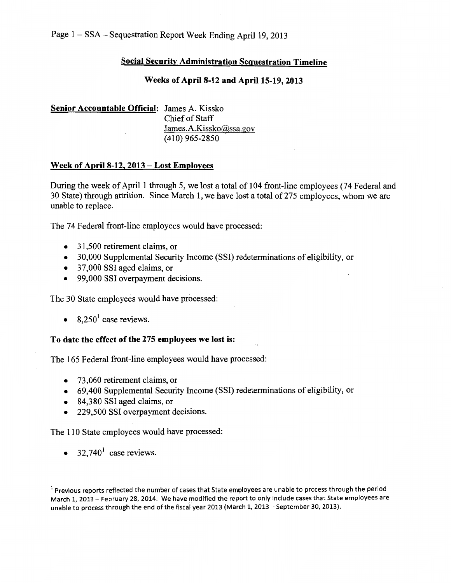# Page 1 - SSA - Sequestration Report Week Ending April 19, 2013

# **Social Security Administration Sequestration Timeline**

#### **Weeks of April 8-12 and April 15-19, 2013**

# Senior Accountable Official: James A. Kissko Chief of Staff James.A.Kissko@ssa.gov  $(410)$  965-2850

#### Week of April 8-12, 2013 – Lost Employees

During the week of April 1 through 5, we lost a total of 104 front-line employees (74 Federal and 30 State) through attrition. Since March 1, we have lost a total of 275 employees, whom we are unable to replace.

The 74 Federal front-line employees would have processed:

- $\bullet$  31,500 retirement claims, or
- 30,000 Supplemental Security Income (SSI) redeterminations of eligibility, or
- $\bullet$  37,000 SSI aged claims, or
- 99,000 SSI overpayment decisions.

The 30 State employees would have processed:

•  $8.250^1$  case reviews.

#### To date the effect of the 275 employees we lost is:

The 165 Federal front-line employees would have processed:

- $\bullet$  73,060 retirement claims, or
- 69,400 Supplemental Security Income (SSI) redeterminations of eligibility, or
- 84,380 SSI aged claims, or
- 229,500 SSI overpayment decisions.

The 110 State employees would have processed:

 $\bullet$  32,740<sup>1</sup> case reviews.

<sup>1</sup> Previous reports reflected the number of cases that State employees are unable to process through the period March 1, 2013 - February 28, 2014. We have modified the report to only include cases that State employees are unable to process through the end of the fiscal year 2013 (March 1, 2013 - September 30, 2013).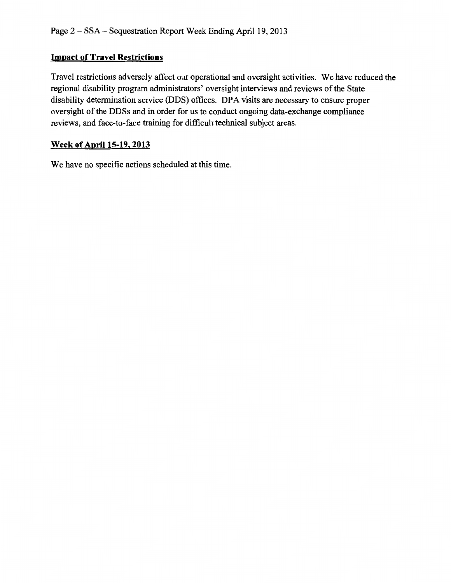# **Impact of Travel Restrictions**

Travel restrictions adversely affect our operational and oversight activities. We have reduced the regional disability program administrators' oversight interviews and reviews of the State disability determination service (DDS) offices. DPA visits are necessary to ensure proper oversight of the DDSs and in order for us to conduct ongoing data-exchange compliance reviews, and face-to-face training for difficult technical subject areas.

# **Week of April 15-19, 2013**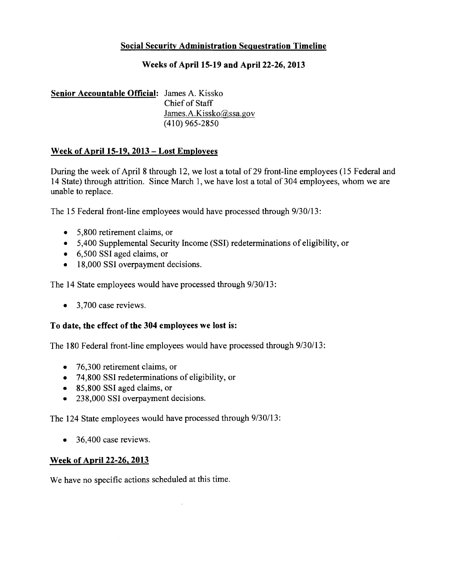## Weeks of April 15-19 and April 22-26, 2013

#### Senior Accountable Official: James A. Kissko Chief of Staff James.A.Kissko@ssa.gov  $(410)$  965-2850

#### Week of April 15-19, 2013 - Lost Employees

During the week of April 8 through 12, we lost a total of 29 front-line employees (15 Federal and 14 State) through attrition. Since March 1, we have lost a total of 304 employees, whom we are unable to replace.

The 15 Federal front-line employees would have processed through 9/30/13:

- $\bullet$  5,800 retirement claims, or
- 5,400 Supplemental Security Income (SSI) redeterminations of eligibility, or
- 6,500 SSI aged claims, or
- 18,000 SSI overpayment decisions.

The 14 State employees would have processed through 9/30/13:

 $\bullet$  3,700 case reviews.

#### To date, the effect of the 304 employees we lost is:

The 180 Federal front-line employees would have processed through 9/30/13:

- $\bullet$  76,300 retirement claims, or
- 74,800 SSI redeterminations of eligibility, or
- 85,800 SSI aged claims, or
- 238,000 SSI overpayment decisions.  $\bullet$

The 124 State employees would have processed through 9/30/13:

36,400 case reviews.  $\bullet$ 

#### **Week of April 22-26, 2013**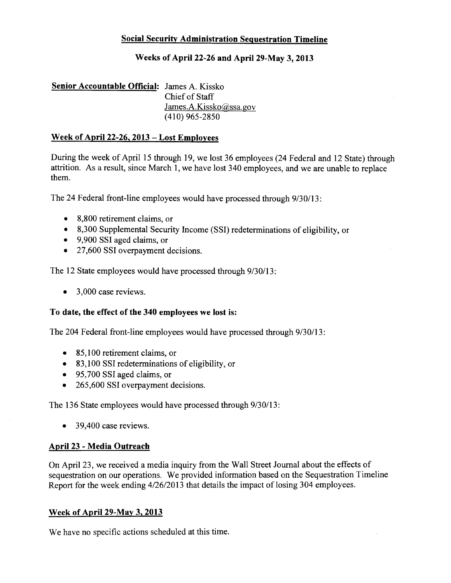## Weeks of April 22-26 and April 29-May 3, 2013

# Senior Accountable Official: James A. Kissko Chief of Staff James.A.Kissko@ssa.gov  $(410)$  965-2850

# Week of April 22-26, 2013 - Lost Employees

During the week of April 15 through 19, we lost 36 employees (24 Federal and 12 State) through attrition. As a result, since March 1, we have lost 340 employees, and we are unable to replace them.

The 24 Federal front-line employees would have processed through 9/30/13:

- 8,800 retirement claims, or
- 8,300 Supplemental Security Income (SSI) redeterminations of eligibility, or
- 9,900 SSI aged claims, or
- 27,600 SSI overpayment decisions.

The 12 State employees would have processed through 9/30/13:

3,000 case reviews.  $\bullet$ 

#### To date, the effect of the 340 employees we lost is:

The 204 Federal front-line employees would have processed through 9/30/13:

- $\bullet$  85,100 retirement claims, or
- 83,100 SSI redeterminations of eligibility, or
- 95,700 SSI aged claims, or
- 265,600 SSI overpayment decisions.

The 136 State employees would have processed through 9/30/13:

 $\bullet$  39,400 case reviews.

# April 23 - Media Outreach

On April 23, we received a media inquiry from the Wall Street Journal about the effects of sequestration on our operations. We provided information based on the Sequestration Timeline Report for the week ending 4/26/2013 that details the impact of losing 304 employees.

# Week of April 29-May 3, 2013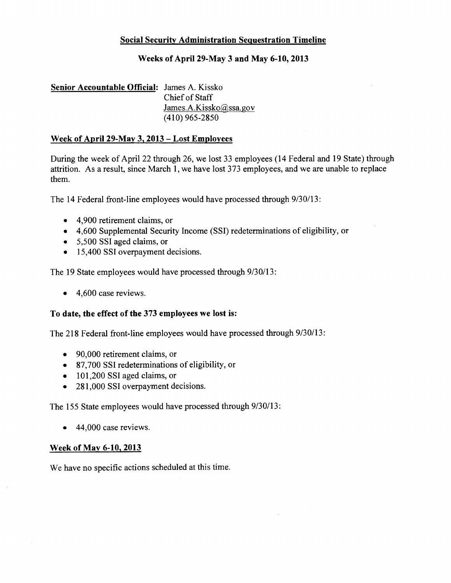#### Weeks of April 29-May 3 and May 6-10, 2013

# Senior Accountable Official: James A. Kissko Chief of Staff James.A.Kissko@ssa.gov  $(410)$  965-2850

#### Week of April 29-May 3, 2013 – Lost Employees

During the week of April 22 through 26, we lost 33 employees (14 Federal and 19 State) through attrition. As a result, since March 1, we have lost 373 employees, and we are unable to replace them.

The 14 Federal front-line employees would have processed through 9/30/13:

- 4,900 retirement claims, or
- 4,600 Supplemental Security Income (SSI) redeterminations of eligibility, or
- 5,500 SSI aged claims, or
- 15,400 SSI overpayment decisions.

The 19 State employees would have processed through 9/30/13:

 $\bullet$  4,600 case reviews.

#### To date, the effect of the 373 employees we lost is:

The 218 Federal front-line employees would have processed through 9/30/13:

- 90,000 retirement claims, or
- 87,700 SSI redeterminations of eligibility, or
- $\bullet$  101,200 SSI aged claims, or
- 281,000 SSI overpayment decisions.  $\bullet$

The 155 State employees would have processed through 9/30/13:

 $\bullet$  44,000 case reviews.

#### Week of May 6-10, 2013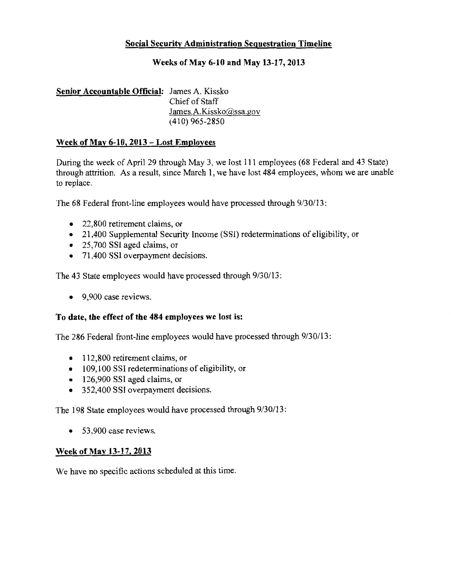# Weeks of May 6-10 and May 13-17, 2013

## Senior Accountable Official: James A. Kissko Chief of Staff James.A.Kissko@ssa.gov  $(410)$  965-2850

#### Week of May 6-10, 2013 – Lost Employees

During the week of April 29 through May 3, we lost 111 employees (68 Federal and 43 State) through attrition. As a result, since March 1, we have lost 484 employees, whom we are unable to replace.

The 68 Federal front-line employees would have processed through 9/30/13:

- $\bullet$  22,800 retirement claims, or
- 21,400 Supplemental Security Income (SSI) redeterminations of eligibility, or
- 25,700 SSI aged claims, or
- 71,400 SSI overpayment decisions.

The 43 State employees would have processed through 9/30/13:

 $\bullet$  9.900 case reviews.

#### To date, the effect of the 484 employees we lost is:

The 286 Federal front-line employees would have processed through 9/30/13:

- $\bullet$  112,800 retirement claims, or
- 109,100 SSI redeterminations of eligibility, or
- $\bullet$  126,900 SSI aged claims, or
- 352,400 SSI overpayment decisions.

The 198 State employees would have processed through 9/30/13:

 $\bullet$  53,900 case reviews.

#### Week of May 13-17, 2013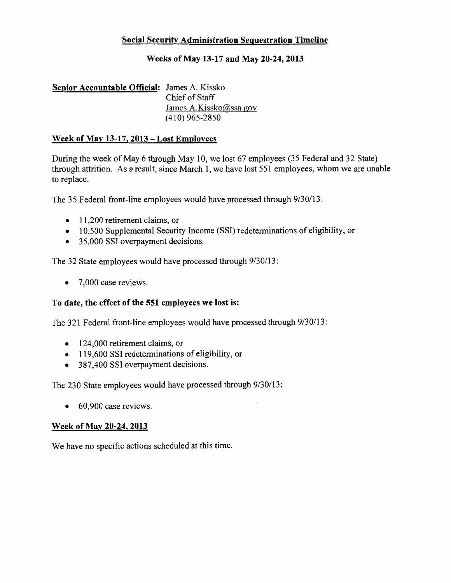## Weeks of May 13-17 and May 20-24, 2013

# Senior Accountable Official: James A. Kissko Chief of Staff James.A.Kissko@ssa.gov  $(410)$  965-2850

#### Week of May 13-17, 2013 - Lost Employees

During the week of May 6 through May 10, we lost 67 employees (35 Federal and 32 State) through attrition. As a result, since March 1, we have lost 551 employees, whom we are unable to replace.

The 35 Federal front-line employees would have processed through 9/30/13:

- $\bullet$  11,200 retirement claims, or
- 10,500 Supplemental Security Income (SSI) redeterminations of eligibility, or
- 35,000 SSI overpayment decisions.

The 32 State employees would have processed through 9/30/13:

 $\bullet$  7,000 case reviews.

#### To date, the effect of the 551 employees we lost is:

The 321 Federal front-line employees would have processed through 9/30/13:

- $\bullet$  124,000 retirement claims, or
- 119,600 SSI redeterminations of eligibility, or
- 387,400 SSI overpayment decisions.

The 230 State employees would have processed through 9/30/13:

 $\bullet$  60.900 case reviews.

#### Week of May 20-24, 2013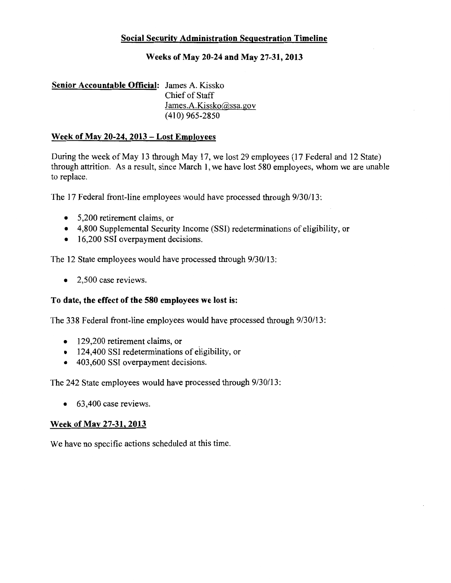#### Weeks of May 20-24 and May 27-31, 2013

## Senior Accountable Official: James A. Kissko Chief of Staff James.A.Kissko@ssa.gov  $(410)$  965-2850

#### Week of May 20-24, 2013 - Lost Employees

During the week of May 13 through May 17, we lost 29 employees (17 Federal and 12 State) through attrition. As a result, since March 1, we have lost 580 employees, whom we are unable to replace.

The 17 Federal front-line employees would have processed through 9/30/13:

- $\bullet$  5,200 retirement claims, or
- 4,800 Supplemental Security Income (SSI) redeterminations of eligibility, or
- 16,200 SSI overpayment decisions.

The 12 State employees would have processed through 9/30/13:

 $\bullet$  2,500 case reviews.

#### To date, the effect of the 580 employees we lost is:

The 338 Federal front-line employees would have processed through 9/30/13:

- 129,200 retirement claims, or
- 124,400 SSI redeterminations of eligibility, or
- 403,600 SSI overpayment decisions.

The 242 State employees would have processed through 9/30/13:

 $\bullet$  63,400 case reviews.

#### **Week of May 27-31, 2013**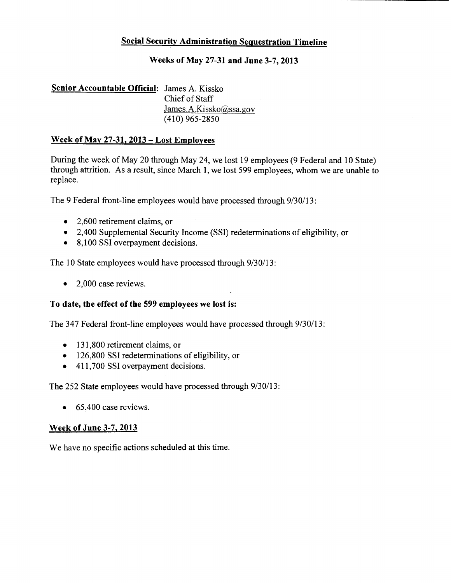## Weeks of May 27-31 and June 3-7, 2013

# Senior Accountable Official: James A. Kissko Chief of Staff James.A.Kissko@ssa.gov  $(410)$  965-2850

#### Week of May 27-31, 2013 - Lost Employees

During the week of May 20 through May 24, we lost 19 employees (9 Federal and 10 State) through attrition. As a result, since March 1, we lost 599 employees, whom we are unable to replace.

The 9 Federal front-line employees would have processed through 9/30/13:

- $\bullet$  2,600 retirement claims, or
- 2,400 Supplemental Security Income (SSI) redeterminations of eligibility, or
- 8,100 SSI overpayment decisions.

The 10 State employees would have processed through 9/30/13:

 $\bullet$  2,000 case reviews.

#### To date, the effect of the 599 employees we lost is:

The 347 Federal front-line employees would have processed through 9/30/13:

- 131,800 retirement claims, or  $\bullet$
- 126,800 SSI redeterminations of eligibility, or
- 411,700 SSI overpayment decisions.

The 252 State employees would have processed through 9/30/13:

 $\bullet$  65,400 case reviews.

#### **Week of June 3-7, 2013**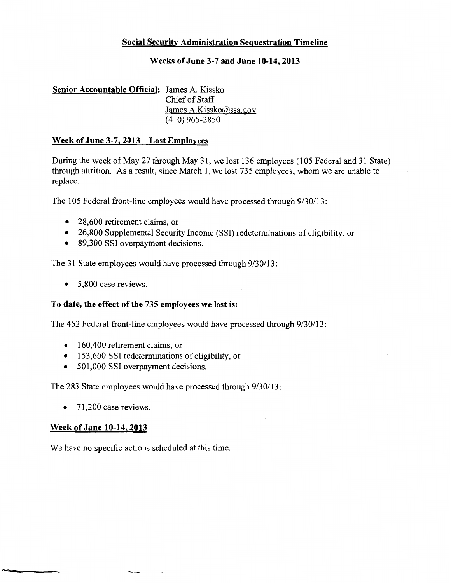#### Weeks of June 3-7 and June 10-14, 2013

#### Senior Accountable Official: James A. Kissko Chief of Staff James.A.Kissko@ssa.gov  $(410)$  965-2850

#### <u>Week of June 3-7, 2013 – Lost Employees</u>

During the week of May 27 through May 31, we lost 136 employees (105 Federal and 31 State) through attrition. As a result, since March 1, we lost 735 employees, whom we are unable to replace.

The 105 Federal front-line employees would have processed through 9/30/13:

- 28,600 retirement claims, or
- 26,800 Supplemental Security Income (SSI) redeterminations of eligibility, or
- 89,300 SSI overpayment decisions.

The 31 State employees would have processed through 9/30/13:

5,800 case reviews.  $\bullet$ 

#### To date, the effect of the 735 employees we lost is:

The 452 Federal front-line employees would have processed through 9/30/13:

- 160,400 retirement claims, or
- 153,600 SSI redeterminations of eligibility, or
- 501,000 SSI overpayment decisions.

The 283 State employees would have processed through 9/30/13:

 $\bullet$  71,200 case reviews.

#### **Week of June 10-14, 2013**

We have no specific actions scheduled at this time.

 $\sim$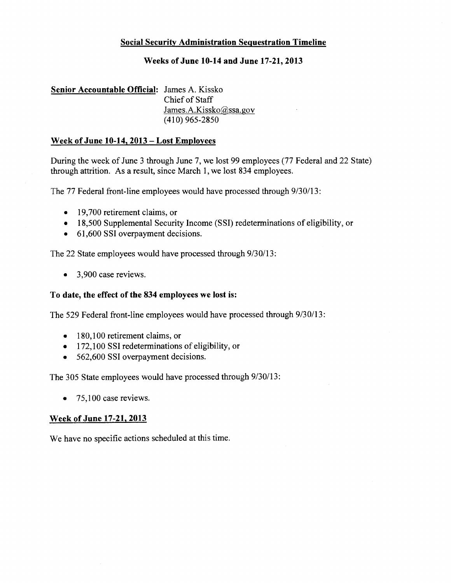#### Weeks of June 10-14 and June 17-21, 2013

#### Senior Accountable Official: James A. Kissko Chief of Staff James.A.Kissko@ssa.gov  $(410)$  965-2850

#### Week of June 10-14, 2013 – Lost Employees

During the week of June 3 through June 7, we lost 99 employees (77 Federal and 22 State) through attrition. As a result, since March 1, we lost 834 employees.

The 77 Federal front-line employees would have processed through 9/30/13:

- $\bullet$  19,700 retirement claims, or
- 18,500 Supplemental Security Income (SSI) redeterminations of eligibility, or
- 61,600 SSI overpayment decisions.

The 22 State employees would have processed through 9/30/13:

3,900 case reviews.  $\bullet$ 

#### To date, the effect of the 834 employees we lost is:

The 529 Federal front-line employees would have processed through 9/30/13:

- $\bullet$  180,100 retirement claims, or
- $\bullet$  172,100 SSI redeterminations of eligibility, or
- 562,600 SSI overpayment decisions.  $\bullet$

The 305 State employees would have processed through 9/30/13:

75,100 case reviews.  $\bullet$ 

#### Week of June 17-21, 2013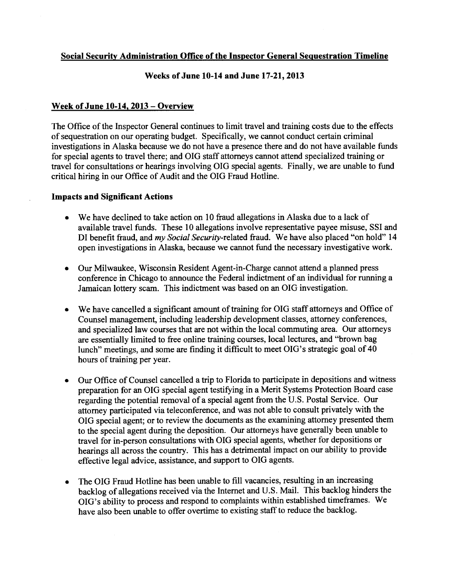#### Social Security Administration Office of the Inspector General Sequestration Timeline

#### Weeks of June 10-14 and June 17-21, 2013

#### Week of June 10-14, 2013 – Overview

The Office of the Inspector General continues to limit travel and training costs due to the effects of sequestration on our operating budget. Specifically, we cannot conduct certain criminal investigations in Alaska because we do not have a presence there and do not have available funds for special agents to travel there; and OIG staff attorneys cannot attend specialized training or travel for consultations or hearings involving OIG special agents. Finally, we are unable to fund critical hiring in our Office of Audit and the OIG Fraud Hotline.

#### **Impacts and Significant Actions**

- We have declined to take action on 10 fraud allegations in Alaska due to a lack of  $\bullet$ available travel funds. These 10 allegations involve representative payee misuse, SSI and DI benefit fraud, and my Social Security-related fraud. We have also placed "on hold" 14 open investigations in Alaska, because we cannot fund the necessary investigative work.
- Our Milwaukee, Wisconsin Resident Agent-in-Charge cannot attend a planned press  $\bullet$ conference in Chicago to announce the Federal indictment of an individual for running a Jamaican lottery scam. This indictment was based on an OIG investigation.
- We have cancelled a significant amount of training for OIG staff attorneys and Office of  $\bullet$ Counsel management, including leadership development classes, attorney conferences, and specialized law courses that are not within the local commuting area. Our attorneys are essentially limited to free online training courses, local lectures, and "brown bag lunch" meetings, and some are finding it difficult to meet OIG's strategic goal of 40 hours of training per year.
- Our Office of Counsel cancelled a trip to Florida to participate in depositions and witness  $\bullet$ preparation for an OIG special agent testifying in a Merit Systems Protection Board case regarding the potential removal of a special agent from the U.S. Postal Service. Our attorney participated via teleconference, and was not able to consult privately with the OIG special agent; or to review the documents as the examining attorney presented them to the special agent during the deposition. Our attorneys have generally been unable to travel for in-person consultations with OIG special agents, whether for depositions or hearings all across the country. This has a detrimental impact on our ability to provide effective legal advice, assistance, and support to OIG agents.
- The OIG Fraud Hotline has been unable to fill vacancies, resulting in an increasing  $\bullet$ backlog of allegations received via the Internet and U.S. Mail. This backlog hinders the OIG's ability to process and respond to complaints within established timeframes. We have also been unable to offer overtime to existing staff to reduce the backlog.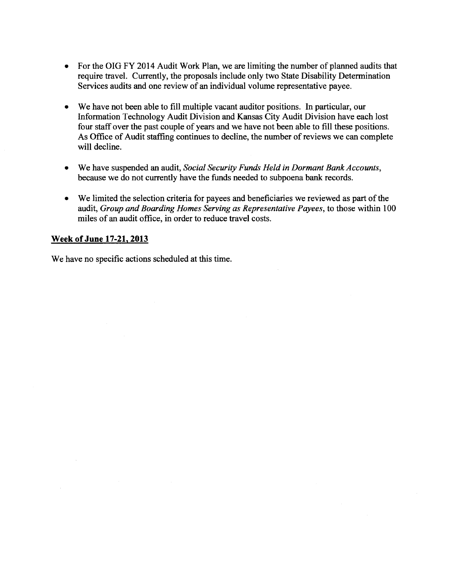- For the OIG FY 2014 Audit Work Plan, we are limiting the number of planned audits that  $\bullet$ require travel. Currently, the proposals include only two State Disability Determination Services audits and one review of an individual volume representative payee.
- We have not been able to fill multiple vacant auditor positions. In particular, our  $\bullet$ Information Technology Audit Division and Kansas City Audit Division have each lost four staff over the past couple of years and we have not been able to fill these positions. As Office of Audit staffing continues to decline, the number of reviews we can complete will decline.
- We have suspended an audit, Social Security Funds Held in Dormant Bank Accounts,  $\bullet$ because we do not currently have the funds needed to subpoena bank records.
- We limited the selection criteria for payees and beneficiaries we reviewed as part of the  $\bullet$ audit, Group and Boarding Homes Serving as Representative Payees, to those within 100 miles of an audit office, in order to reduce travel costs.

#### **Week of June 17-21, 2013**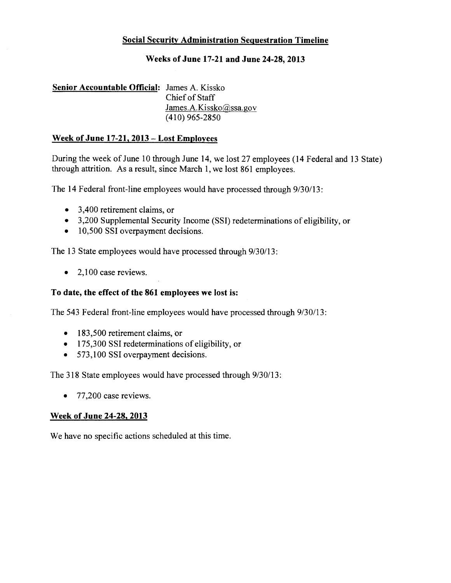# Weeks of June 17-21 and June 24-28, 2013

# Senior Accountable Official: James A. Kissko Chief of Staff James.A.Kissko@ssa.gov  $(410)$  965-2850

#### Week of June 17-21, 2013 - Lost Employees

During the week of June 10 through June 14, we lost 27 employees (14 Federal and 13 State) through attrition. As a result, since March 1, we lost 861 employees.

The 14 Federal front-line employees would have processed through 9/30/13:

- $\bullet$  3,400 retirement claims, or
- 3,200 Supplemental Security Income (SSI) redeterminations of eligibility, or
- 10,500 SSI overpayment decisions.

The 13 State employees would have processed through 9/30/13:

 $\bullet$  2,100 case reviews.

#### To date, the effect of the 861 employees we lost is:

The 543 Federal front-line employees would have processed through 9/30/13:

- 183,500 retirement claims, or
- 175,300 SSI redeterminations of eligibility, or
- 573,100 SSI overpayment decisions.

The 318 State employees would have processed through 9/30/13:

 $\bullet$  77,200 case reviews.

#### **Week of June 24-28, 2013**